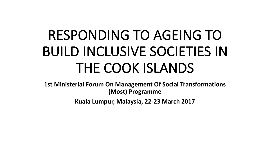# RESPONDING TO AGEING TO BUILD INCLUSIVE SOCIETIES IN THE COOK ISLANDS

**1st Ministerial Forum On Management Of Social Transformations (Most) Programme**

Kuala Lumpur, Malaysia, 22-23 March 2017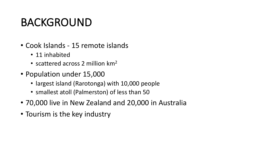#### BACKGROUND

- Cook Islands 15 remote islands
	- 11 inhabited
	- scattered across 2 million  $km<sup>2</sup>$
- Population under 15,000
	- largest island (Rarotonga) with 10,000 people
	- smallest atoll (Palmerston) of less than 50
- 70,000 live in New Zealand and 20,000 in Australia
- Tourism is the key industry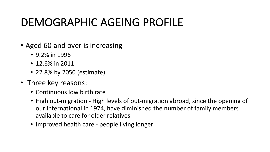## DEMOGRAPHIC AGEING PROFILE

- Aged 60 and over is increasing
	- $\cdot$  9.2% in 1996
	- $\cdot$  12.6% in 2011
	- 22.8% by 2050 (estimate)
- Three key reasons:
	- Continuous low birth rate
	- High out-migration High levels of out-migration abroad, since the opening of our international in 1974, have diminished the number of family members available to care for older relatives.
	- Improved health care people living longer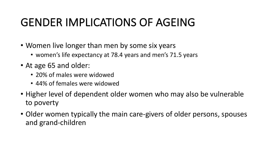## GENDER IMPLICATIONS OF AGEING

- Women live longer than men by some six years
	- women's life expectancy at 78.4 years and men's 71.5 years
- At age 65 and older:
	- 20% of males were widowed
	- 44% of females were widowed
- Higher level of dependent older women who may also be vulnerable to poverty
- Older women typically the main care-givers of older persons, spouses and grand-children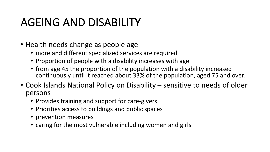### AGEING AND DISABILITY

- Health needs change as people age
	- more and different specialized services are required
	- Proportion of people with a disability increases with age
	- from age 45 the proportion of the population with a disability increased continuously until it reached about 33% of the population, aged 75 and over.
- Cook Islands National Policy on Disability sensitive to needs of older persons
	- Provides training and support for care-givers
	- Priorities access to buildings and public spaces
	- prevention measures
	- caring for the most vulnerable including women and girls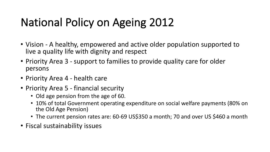# National Policy on Ageing 2012

- Vision A healthy, empowered and active older population supported to live a quality life with dignity and respect
- Priority Area 3 support to families to provide quality care for older persons
- Priority Area 4 health care
- Priority Area 5 financial security
	- Old age pension from the age of 60.
	- 10% of total Government operating expenditure on social welfare payments (80% on the Old Age Pension)
	- The current pension rates are: 60-69 US\$350 a month; 70 and over US \$460 a month
- Fiscal sustainability issues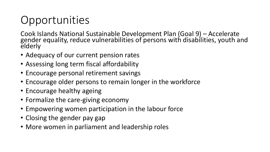# Opportunities

Cook Islands National Sustainable Development Plan (Goal 9) - Accelerate gender equality, reduce vulnerabilities of persons with disabilities, youth and elderly

- Adequacy of our current pension rates
- Assessing long term fiscal affordability
- Encourage personal retirement savings
- Encourage older persons to remain longer in the workforce
- Encourage healthy ageing
- Formalize the care-giving economy
- Empowering women participation in the labour force
- Closing the gender pay gap
- More women in parliament and leadership roles